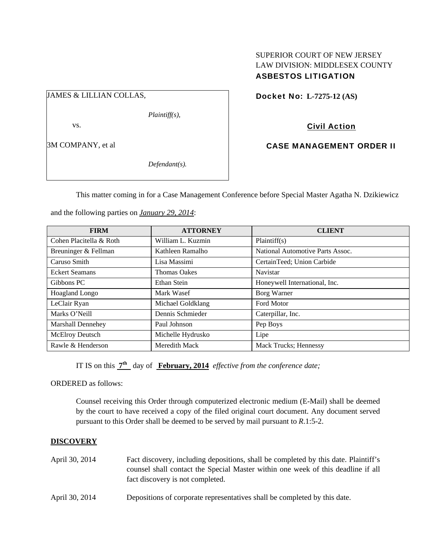## SUPERIOR COURT OF NEW JERSEY LAW DIVISION: MIDDLESEX COUNTY ASBESTOS LITIGATION

JAMES & LILLIAN COLLAS,

*Plaintiff(s),* 

vs.

3M COMPANY, et al

*Defendant(s).* 

Docket No: **L-7275-12 (AS)** 

Civil Action

CASE MANAGEMENT ORDER II

This matter coming in for a Case Management Conference before Special Master Agatha N. Dzikiewicz

| <b>FIRM</b>              | <b>ATTORNEY</b>     | <b>CLIENT</b>                    |
|--------------------------|---------------------|----------------------------------|
| Cohen Placitella & Roth  | William L. Kuzmin   | Plaintiff(s)                     |
| Breuninger & Fellman     | Kathleen Ramalho    | National Automotive Parts Assoc. |
| Caruso Smith             | Lisa Massimi        | CertainTeed; Union Carbide       |
| <b>Eckert Seamans</b>    | <b>Thomas Oakes</b> | <b>Navistar</b>                  |
| Gibbons PC               | Ethan Stein         | Honeywell International, Inc.    |
| Hoagland Longo           | Mark Wasef          | Borg Warner                      |
| LeClair Ryan             | Michael Goldklang   | <b>Ford Motor</b>                |
| Marks O'Neill            | Dennis Schmieder    | Caterpillar, Inc.                |
| <b>Marshall Dennehey</b> | Paul Johnson        | Pep Boys                         |
| <b>McElroy Deutsch</b>   | Michelle Hydrusko   | Lipe                             |
| Rawle & Henderson        | Meredith Mack       | <b>Mack Trucks</b> ; Hennessy    |

and the following parties on *January 29, 2014*:

IT IS on this **7th** day of **February, 2014** *effective from the conference date;*

ORDERED as follows:

Counsel receiving this Order through computerized electronic medium (E-Mail) shall be deemed by the court to have received a copy of the filed original court document. Any document served pursuant to this Order shall be deemed to be served by mail pursuant to *R*.1:5-2.

# **DISCOVERY**

- April 30, 2014 Fact discovery, including depositions, shall be completed by this date. Plaintiff's counsel shall contact the Special Master within one week of this deadline if all fact discovery is not completed.
- April 30, 2014 Depositions of corporate representatives shall be completed by this date.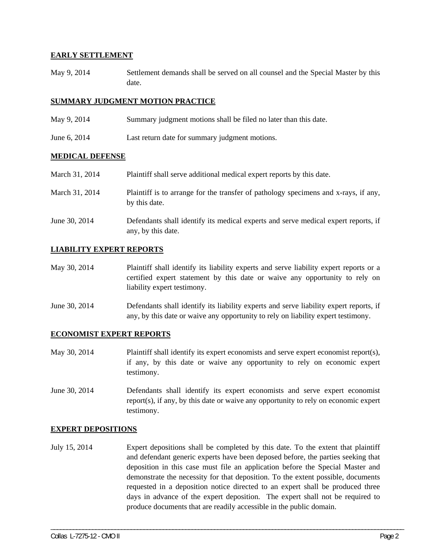#### **EARLY SETTLEMENT**

May 9, 2014 Settlement demands shall be served on all counsel and the Special Master by this date.

## **SUMMARY JUDGMENT MOTION PRACTICE**

- May 9, 2014 Summary judgment motions shall be filed no later than this date.
- June 6, 2014 Last return date for summary judgment motions.

#### **MEDICAL DEFENSE**

| March 31, 2014 | Plaintiff shall serve additional medical expert reports by this date.                                    |
|----------------|----------------------------------------------------------------------------------------------------------|
| March 31, 2014 | Plaintiff is to arrange for the transfer of pathology specimens and x-rays, if any,<br>by this date.     |
| June 30, 2014  | Defendants shall identify its medical experts and serve medical expert reports, if<br>any, by this date. |

## **LIABILITY EXPERT REPORTS**

| May 30, 2014 | Plaintiff shall identify its liability experts and serve liability expert reports or a |
|--------------|----------------------------------------------------------------------------------------|
|              | certified expert statement by this date or waive any opportunity to rely on            |
|              | liability expert testimony.                                                            |

June 30, 2014 Defendants shall identify its liability experts and serve liability expert reports, if any, by this date or waive any opportunity to rely on liability expert testimony.

#### **ECONOMIST EXPERT REPORTS**

- May 30, 2014 Plaintiff shall identify its expert economists and serve expert economist report(s), if any, by this date or waive any opportunity to rely on economic expert testimony.
- June 30, 2014 Defendants shall identify its expert economists and serve expert economist report(s), if any, by this date or waive any opportunity to rely on economic expert testimony.

#### **EXPERT DEPOSITIONS**

July 15, 2014 Expert depositions shall be completed by this date. To the extent that plaintiff and defendant generic experts have been deposed before, the parties seeking that deposition in this case must file an application before the Special Master and demonstrate the necessity for that deposition. To the extent possible, documents requested in a deposition notice directed to an expert shall be produced three days in advance of the expert deposition. The expert shall not be required to produce documents that are readily accessible in the public domain.

\_\_\_\_\_\_\_\_\_\_\_\_\_\_\_\_\_\_\_\_\_\_\_\_\_\_\_\_\_\_\_\_\_\_\_\_\_\_\_\_\_\_\_\_\_\_\_\_\_\_\_\_\_\_\_\_\_\_\_\_\_\_\_\_\_\_\_\_\_\_\_\_\_\_\_\_\_\_\_\_\_\_\_\_\_\_\_\_\_\_\_\_\_\_\_\_\_\_\_\_\_\_\_\_\_\_\_\_\_\_